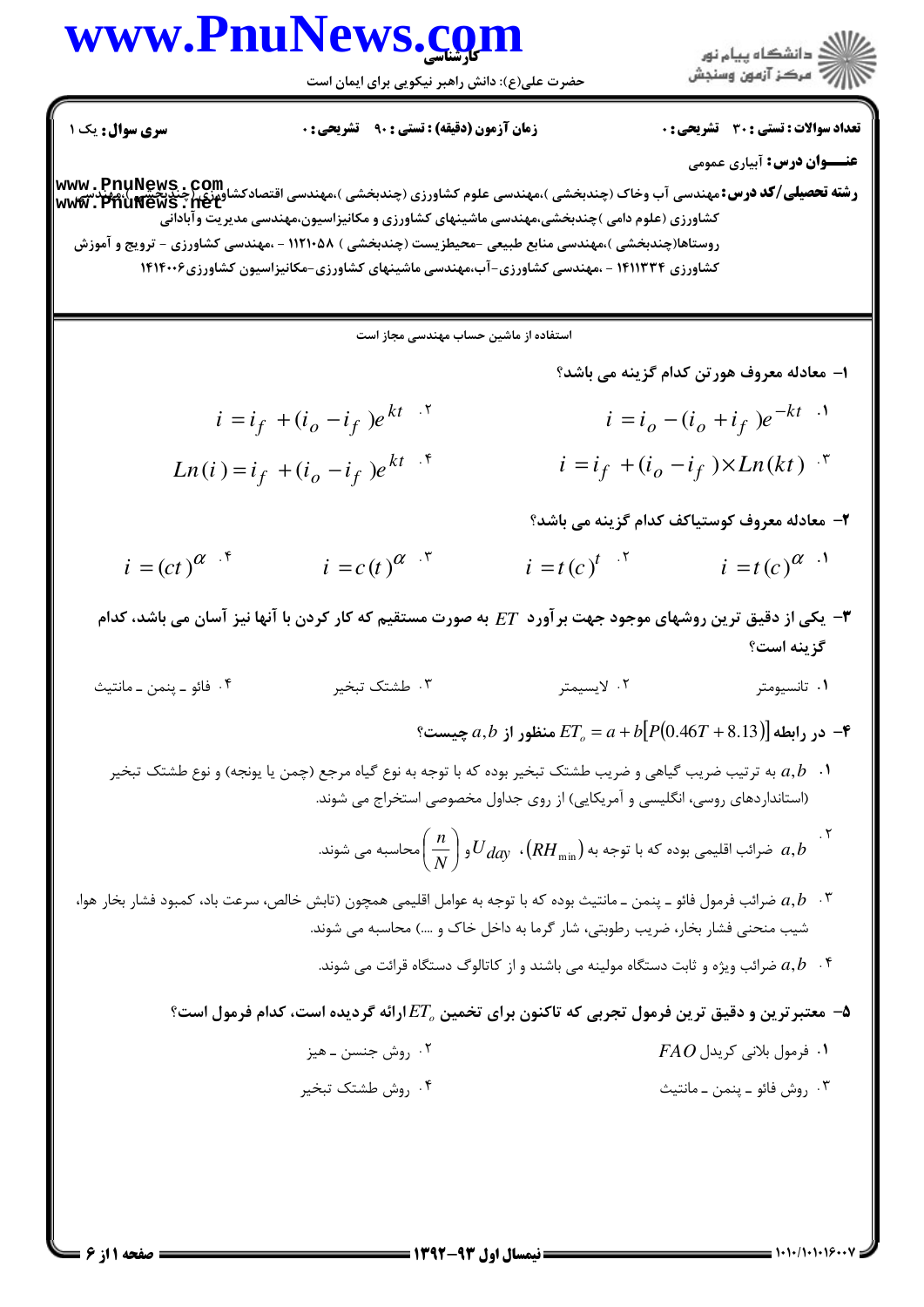## www.PnuNews.com

**سری سوال :** یک ۱

حضرت علی(ع): دانش راهبر نیکویی برای ایمان است

ر<br>اگر دانشگاه پیام نو**ر** 

**تعداد سوالات : تستی : 30 ٪ تشریحی : 0** 

**عنــوان درس:** آبیاری عمومی رشته تحصیلی/کد درس: مهندسی آب وخاک (چندبخشی )،مهندسی علوم کشاورزی (چندبخشی )،مهندسی اقتصادکشاورزی (چندنگینگیر<br>www . PhuNews . pet کشاورزی (علوم دامی )چندبخشی،مهندسی ماشینهای کشاورزی و مکانیزاسیون،مهندسی مدیریت وآبادانّی روستاها(چندبخشی )،مهندسی منابع طبیعی -محیطزیست (چندبخشی ) ۱۱۲۱۰۵۸ - ،مهندسی کشاورزی - ترویج و آموزش کشاورزی ۱۴۱۱۳۳۴ - ،مهندسی کشاورزی-آب،مهندسی ماشینهای کشاورزی-مکانیزاسیون کشاورزی۱۴۱۴۰۰۶

استفاده از ماشین حساب مهندسی مجاز است

- ۱– معادله معروف هورتن کدام گزینه می باشد؟
- $i = i_f + (i_o i_f)e^{kt}$  $i = i_o - (i_o + i_f)e^{-kt}$  $i = i_f + (i_o - i_f) \times Ln(kt)$  \*  $Ln(i) = i_f + (i_o - i_f)e^{kt}$ 
	- ٢- معادله معروف كوستياكف كدام گزينه مي باشد؟
- $i = (ct)^{\alpha}$ .  $i = c(t)^{\alpha + \tau}$  $i = t(c)^{t}$ .  $i = t(c)^{\alpha}$ .
- **۳** یکی از دقیق ترین روشهای موجود جهت برآورد ET به صورت مستقیم که کار کردن با آنها نیز آسان می باشد، کدام گز بنه است؟
- ۰۲ لايسىمتى ۰۱ تانسیومتر ييث
	- ° در رابطه  $ET_a = a + b[P(0.46T + 8.13)]$  منظور از  $a,b$  چیست "
	- ۰۱ .  $a,b$  به ترتیب ضریب گیاهی و ضریب طشتک تبخیر بوده که با توجه به نوع گیاه مرجع (چمن یا یونجه) و نوع طشتک تبخیر (استانداردهای روسی، انگلیسی و آمریکایی) از روی جداول مخصوصی استخراج می شوند.
		- ۰۲ .<br>ه ضرائب اقلیمی بوده که با توجه به  $U_{dqy}$  ،  $\left(RH_{\min}\right)$  و  $\left(\frac{n}{N}\right)^{12}$ محاسبه می شوند.  $a,b$
- ۰۳ مرائب فرمول فائو ــ پنمن ــ مانتیث بوده که با توجه به عوامل اقلیمی همچون (تابش خالص، سرعت باد، کمبود فشار بخار هوا،  $a,b$  ۰۳ شیب منحنی فشار بخار، ضریب رطوبتی، شار گرما به داخل خاک و ….) محاسبه می شوند.
	- ۰۴ شرائب ویژه و ثابت دستگاه مولینه می باشند و از کاتالوگ دستگاه قرائت می شوند.  $a,b$   $\cdot$  ۴
	- معتبر ترين و دقيق ترين فرمول تجربي كه تاكنون براي تخمين  $ET_{a}$ ارائه گرديده است، كدام فرمول است؟ "
		- ۰۲ روش جنسن ــ هيز  $\overline{FAO}$  ، فرمول بلانی کریدل  $\overline{O}$
		- ۰۴ روش طشتک تبخیر ۰۳ , وش فائو ـ ينمن ـ مانتيث

$$
\mathbf{f} \quad \text{and} \quad \mathbf{f} \quad \text{and} \quad \mathbf{f} \quad \text{and} \quad \mathbf{f} \quad \text{and} \quad \mathbf{f} \quad \text{and} \quad \mathbf{f} \quad \text{and} \quad \mathbf{f} \quad \text{and} \quad \mathbf{f} \quad \text{and} \quad \mathbf{f} \quad \text{and} \quad \mathbf{f} \quad \text{and} \quad \mathbf{f} \quad \text{and} \quad \mathbf{f} \quad \text{and} \quad \mathbf{f} \quad \text{and} \quad \mathbf{f} \quad \text{and} \quad \mathbf{f} \quad \text{and} \quad \mathbf{f} \quad \text{and} \quad \mathbf{f} \quad \text{and} \quad \mathbf{f} \quad \text{and} \quad \mathbf{f} \quad \text{and} \quad \mathbf{f} \quad \text{and} \quad \mathbf{f} \quad \text{and} \quad \mathbf{f} \quad \text{and} \quad \mathbf{f} \quad \text{and} \quad \mathbf{f} \quad \text{and} \quad \mathbf{f} \quad \text{and} \quad \mathbf{f} \quad \text{and} \quad \mathbf{f} \quad \text{and} \quad \mathbf{f} \quad \text{and} \quad \mathbf{f} \quad \text{and} \quad \mathbf{f} \quad \text{and} \quad \mathbf{f} \quad \text{and} \quad \mathbf{f} \quad \text{and} \quad \mathbf{f} \quad \text{and} \quad \mathbf{f} \quad \text{and} \quad \mathbf{f} \quad \text{and} \quad \mathbf{f} \quad \text{and} \quad \mathbf{f} \quad \text{and} \quad \mathbf{f} \quad \text{and} \quad \mathbf{f} \quad \text{and} \quad \mathbf{f} \quad \text{and} \quad \mathbf{f} \quad \text{and} \quad \mathbf{f} \quad \text{and} \quad \mathbf{f} \quad \text{and} \quad \mathbf{f} \quad \text{and} \quad \mathbf{f} \quad \text{and} \quad \mathbf{f} \quad \text{and} \quad \mathbf{f} \quad \text{and} \quad \mathbf{f} \quad \text{and} \quad \mathbf{f} \quad \text{and} \quad \mathbf{f} \quad \text{and} \quad \mathbf{f} \quad \text
$$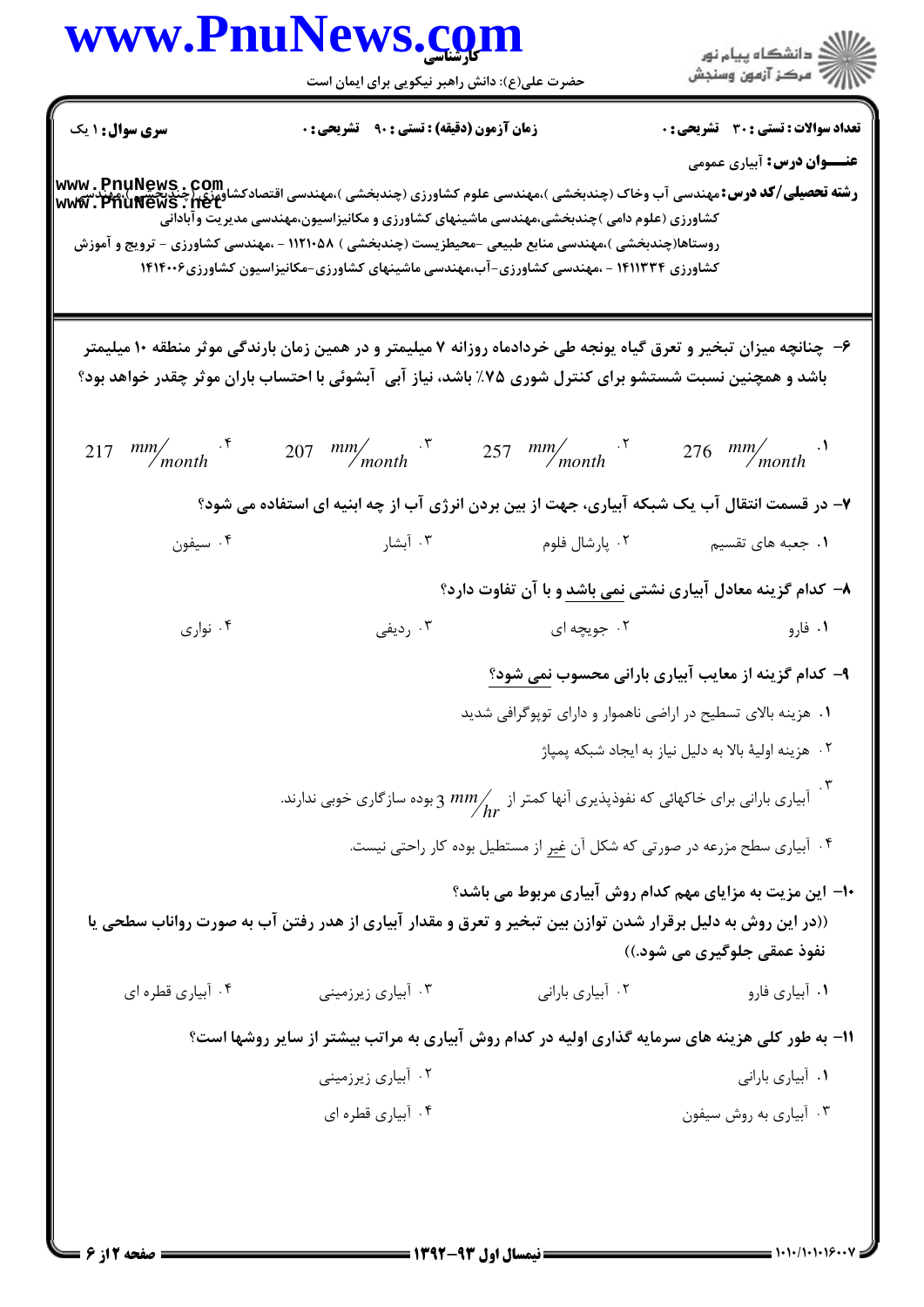## www.PnuNews.com

حضرت علی(ع): دانش راهبر نیکویی برای ایمان است



**تعداد سوالات : تستي : 30 - تشريحي : 0 سری سوال : ۱ یک زمان آزمون (دقیقه) : تستی : ۹۰٪ تشریحی: . عنــوان درس:** آبیاری عمومی ر**شته تحصیلی/کد درس:**مهندسی آب وخاک (چندبخشی )،مهندسی علوم کشاورزی (چندبخشی )،مهندسی اقتصادکشاورزی/چندیکشی )،مهندس<br>WWW . PhuNews . pet کشاورزی (علوم دامی )چندبخشی،مهندسی ماشینهای کشاورزی و مکانیزاسیون،مهندسی مدیریت وآبادانّی روستاها(چندبخشی )،مهندسی منابع طبیعی -محیطزیست (چندبخشی ) ۱۱۲۱۰۵۸ - ،مهندسی کشاورزی - ترویج و آموزش کشاورزی ۱۴۱۱۳۳۴ - ،مهندسی کشاورزی-آب،مهندسی ماشینهای کشاورزی-مکانیزاسیون کشاورزی۱۴۱۴۰۰۶ ۶– چنانچه میزان تبخیر و تعرق گیاه پونجه طی خردادماه روزانه ۷ میلیمتر و در همین زمان بارندگی موثر منطقه ۱۰ میلیمتر باشد و همچنین نسبت شستشو برای کنترل شوری ۷۵٪ باشد، نیاز آبی آبشوئی با احتساب باران موثر چقدر خواهد بود؟ 217 mm/month  $\frac{15}{207}$  mm/month  $\frac{15}{257}$  mm/month  $\frac{15}{257}$  mm/month  $\frac{15}{276}$  mm/month  $\frac{15}{276}$ ۷- در قسمت انتقال آب یک شبکه آبیاری، جهت از بین بردن انرژی آب از چه ابنیه ای استفاده می شود؟ ۰۳ آىشا, ۰**۱** جعبه های تقسیم مسلم استان فلوم استان به ک ۰۴ سیفون  $\cdot$ ۸– کدام گزینه معادل آبیاری نشتی نمی باشد و با آن تفاوت دارد؟ ۰۲ جویچه ای ۰۴ نواری ۰۳ ردیفی ۰۱ فارو ۹- کدام گزینه از معایب آبیاری بارانی محسوب نمی شود؟ ۰۱ هزینه بالای تسطیح در اراضی ناهموار و دارای توپوگرافی شدید ۰۲ هزینه اولیهٔ بالا به دلیل نیاز به ایجاد شبکه پمپاژ ۰۳ .<br>آبیاری بارانی برای خاکهائی که نفوذپذیری آنها کمتر از  $\frac{m m}{hr}$  3 بوده سازگاری خوبی ندارند. ۰۴ آبیاری سطح مزرعه در صورتی که شکل آن غیر از مستطیل بوده کار راحتی نیست. ۱۰– این مزیت به مزایای مهم کدام روش آبیاری مربوط می باشد؟ ((در این روش به دلیل برقرار شدن توازن بین تبخیر و تعرق و مقدار آبیاری از هدر رفتن آب به صورت رواناب سطحی یا نفوذ عمقي جلوگيري مي شود.)) ۰۳ آبیاری زیرزمینی ٠٢ أبياري باراني ۰۴ آبیاری قطره ای ۰۱ آبیاری فارو 1۱- به طور کلی هزینه های سرمایه گذاری اولیه در کدام روش آبیاری به مراتب بیشتر از سایر روشها است؟ ۰۲ آبیاری زیرزمینی ۰۱ آبیاری بارانی ۰۴ آبيا<sub>د</sub>ي قطره اي ۰۳ آبیاری به روش سیفون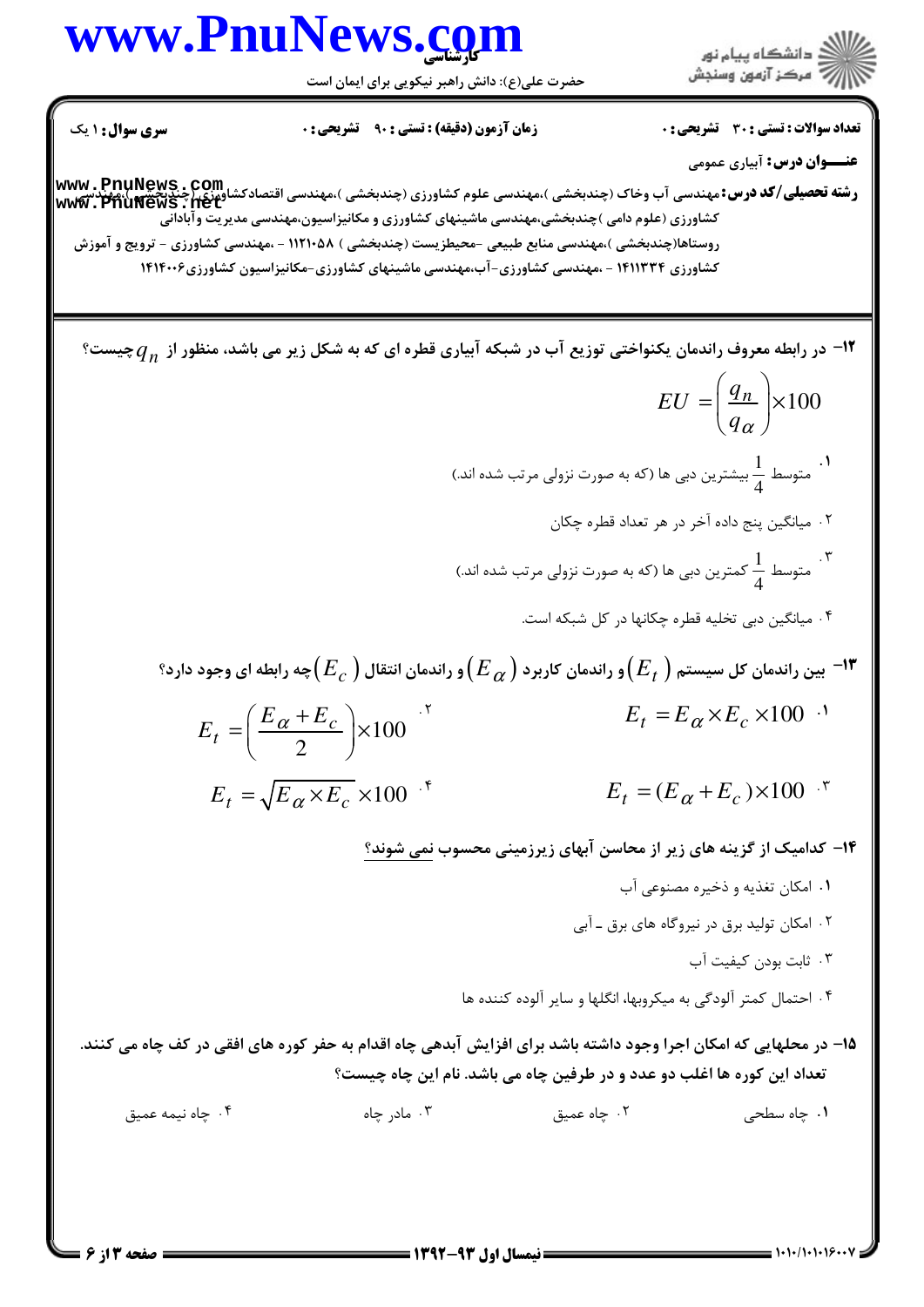## www.PnuNews.com

ار<br>الله دانشگاه پیام نور<br>الله مرکز آزمون وسنجش

حضرت علی(ع): دانش راهبر نیکویی برای ایمان است

**سری سوال : ۱ یک زمان آزمون (دقیقه) : تستی : ۹۰٪ تشریحی : 0**  **تعداد سوالات : تستی : 30 ٪ تشریحی : 0 عنــوان درس:** آبیاری عمومی

**رشته تحصیلی/کد درس:**مهندسی آب وخاک (چندبخشی )،مهندسی علوم کشاورزی (چندبخشی )،مهندسی اقتصادکشاورزی/چندیکشی )،مهندس<br>WWW . PhuNews . pet کشاورزی (علوم دامی )چندبخشی،مهندسی ماشینهای کشاورزی و مکانیزاسیون،مهندسی مدیریت وآبادانّی روستاها(چندبخشی )،مهندسی منابع طبیعی -محیطزیست (چندبخشی ) ۱۲۱۰۵۸۸ - ،مهندسی کشاورزی – ترویج و آموزش کشاورزی ۱۴۱۱۳۳۴ - ،مهندسی کشاورزی-آب،مهندسی ماشینهای کشاورزی-مکانیزاسیون کشاورزی۱۴۱۴۰۰۶

ا در رابطه معروف راندمان یکنواختی توزیع آب در شبکه آبیاری قطره ای که به شکل زیر می باشد، منظور از  $q_n$ چیست؟ $\,$  $EU = \left(\frac{q_n}{q_n}\right) \times 100$ ۰۱ متوسط  $\frac{1}{\lambda}$  بیشترین دبی ها (که به صورت نزولی مرتب شده اند.) ٢. ميانگين پنج داده آخر در هر تعداد قطره چکان ۳.<br>متوسط  $\frac{1}{\lambda}$  کمترین دبی ها (که به صورت نزولی مرتب شده اند.) ۰۴ میانگین دبی تخلیه قطره چکانها در کل شبکه است. ا— بین راندمان کل سیستم  $\big(E_{t}\big)$ و راندمان کاربرد  $\big(E_{\,\alpha}\big)$ و راندمان انتقال  $\big(E_{\,c}\big)$ چه رابطه ای وجود دارد؟  $^{-1}$  $E_t = E_\alpha \times E_c \times 100^{-1}$  $E_t = \left(\frac{E_{\alpha} + E_c}{2}\right) \times 100^{-7}$  $E_t = \sqrt{E_{\alpha} \times E_c} \times 100^{-8}$  $E_t = (E_\alpha + E_c) \times 100^{-8}$ ۱۴– کدامیک از گزینه های زیر از محاسن آبهای زیرزمینی محسوب نمی شوند؟ ٠١. امكان تغذيه و ذخيره مصنوعي آب ۲ . امکان تولید برق در نیروگاه های برق ـ آبی ۰۳ ثابت بودن کیفیت آب ۰۴ احتمال کمتر آلودگی به میکروبها، انگلها و سایر آلوده کننده ها 1۵– در محلهایی که امکان اجرا وجود داشته باشد برای افزایش آبدهی چاه اقدام به حفر کوره های افقی در کف چاه می کنند. تعداد این کوره ها اغلب دو عدد و در طرفین چاه می باشد. نام این چاه چیست؟ ۰۳ مادر چاه ۰۲ چاه عميق ۰۱ چاه سط*حی* ۰۴ جاه نيمه عميق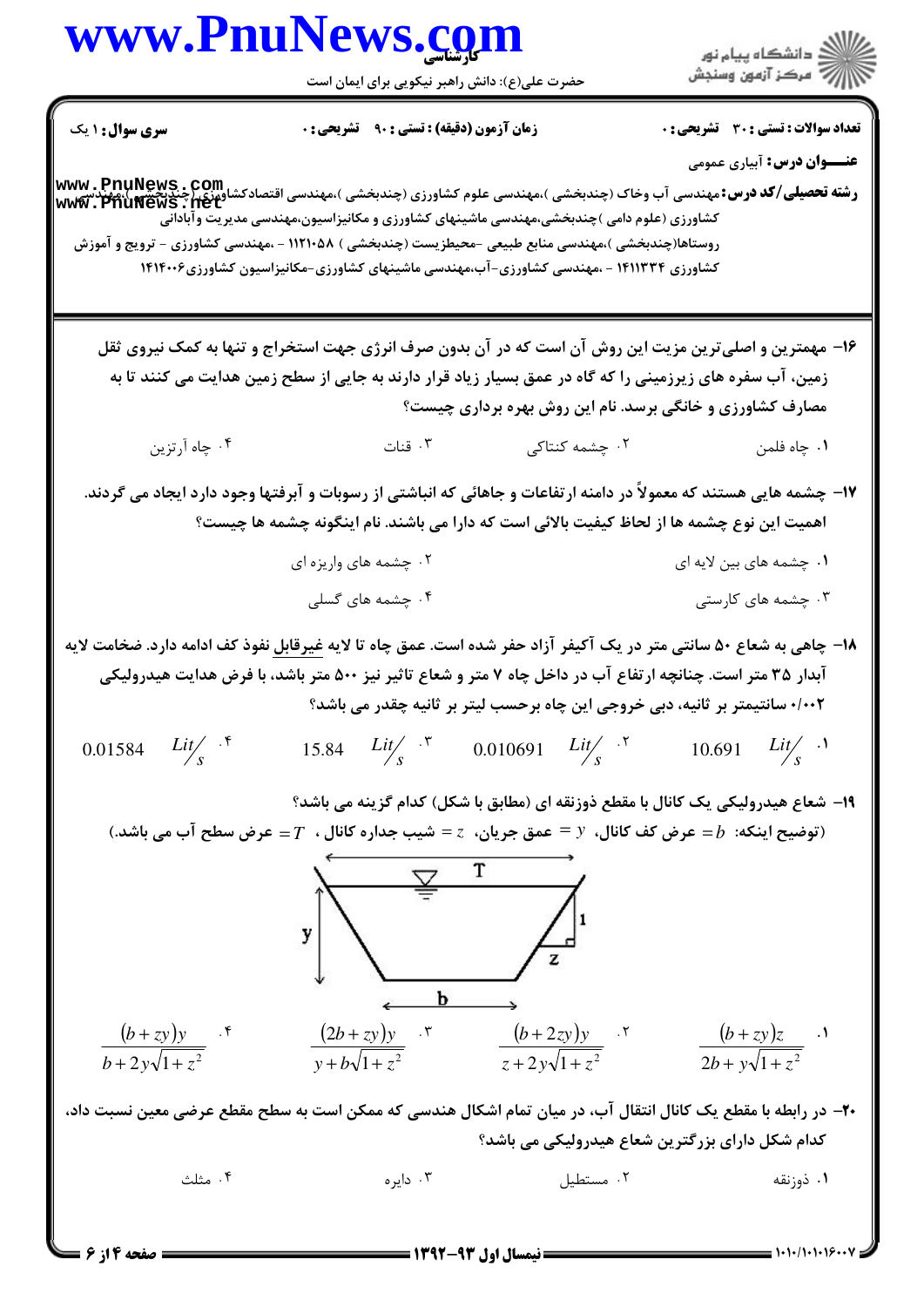## www.PnuNews.com .<br>گ دانشگاه پیام نور **//// مرڪز آزمون وسنڊش** حضرت علی(ع): دانش راهبر نیکویی برای ایمان است **تعداد سوالات : تستی : 30 ٪ تشریحی : 0 سری سوال : ۱ یک زمان آزمون (دقیقه) : تستی : ۹۰ تشریحی: 0 عنــوان درس:** آبیاری عمومی www . PnuNews . Com<br>و**شته تحصیلی/کد درس:**مهندسی آب وخاک (چندبخشی )،مهندسی علوم کشاورزی (چندبخشی )،مهندسی اقتصادکشاورزی (چندنخشی )،مهندس<br>www . PhuNews . net کشاورزی (علوم دامی )چندبخشی،مهندسی ماشینهای کشاورزی و مکانیزاسیون،مهندسی مدیریت وآبادانّی روستاها(چندبخشی )،مهندسی منابع طبیعی -محیطزیست (چندبخشی ) ۱۱۲۱۰۵۸ - ،مهندسی کشاورزی – ترویج و آموزش کشاورزی ۱۴۱۱۳۳۴ - ،مهندسی کشاورزی-آب،مهندسی ماشینهای کشاورزی-مکانیزاسیون کشاورزی۱۴۱۴۰۰۶ ۱۶- مهمترین و اصلی ترین مزیت این روش آن است که در آن بدون صرف انرژی جهت استخراج و تنها به کمک نیروی ثقل زمین، آب سفره های زیرزمینی را که گاه در عمق بسیار زیاد قرار دارند به جایی از سطح زمین هدایت می کنند تا به مصارف کشاورزی و خانگی برسد. نام این روش بهره برداری چیست؟ ۰۴ چاه آرتزین ۰۳ قنات ۰۲ چشمه کنتاکی ٠١. چاه فلمن ۱۷- چشمه هایی هستند که معمولاً در دامنه ارتفاعات و جاهائی که انباشتی از رسوبات و آبرفتها وجود دارد ایجاد می گردند. اهمیت این نوع چشمه ها از لحاظ کیفیت بالائی است که دارا می باشند. نام اینگونه چشمه ها چیست؟ ۰۲ چشمه های واریزه ای ۰۱ چشمه های بین لایه ای ۰۴ چشمه های گسلی ۰۳ چشمه های کارستی ۱۸− چاهی به شعاع ۵۰ سانتی متر در یک آکیفر آزاد حفر شده است. عمق چاه تا لایه غیرقابل نفوذ کف ادامه دارد. ضخامت لایه آبدار ۳۵ متر است. چنانچه ارتفاع آب در داخل چاه ۷ متر و شعاع تاثیر نیز ۵۰۰ متر باشد، با فرض هدایت هیدرولیکی ٠/٠٢ سانتيمتر بر ثانيه، دبي خروجي اين چاه برحسب ليتر بر ثانيه چقدر مي باشد؟  $Lit/$  f 15.84  $Lit/_{s}$  \* 0.010691  $Lit/_{s}$  \* 10.691  $List/_{s}$  . 0.01584 ۱۹- شعاع هیدرولیکی یک کانال با مقطع ذوزنقه ای (مطابق با شکل) کدام گزینه می باشد؟ (توضيح اينكه:  $b = b = 1$  عرض كف كانال،  $y = 0$  عمق جريان،  $z = 0$  شيب جداره كانال ،  $T = 1$  عرض سطح آب مي باشد.) y ь  $\frac{(2b+zy)y}{y+b\sqrt{1+z^2}}$ .  $\frac{(b+2zy)y}{z+2y\sqrt{1+z^2}}$ .  $\frac{(b+zy)y}{b+2y\sqrt{1+z^2}}$  .\*  $\frac{(b+zy)z}{2b+yz\sqrt{1+z^2}}$ . ۲۰- در رابطه با مقطع یک کانال انتقال آب، در میان تمام اشکال هندسی که ممکن است به سطح مقطع عرضی معین نسبت داد، کدام شکل دارای بزرگترین شعاع هیدرولیکی می باشد؟ ۰۴ مثلث ۰۳ دانوه $\cdot$ ۰۲ مستطیل ۰۱ ذوزنقه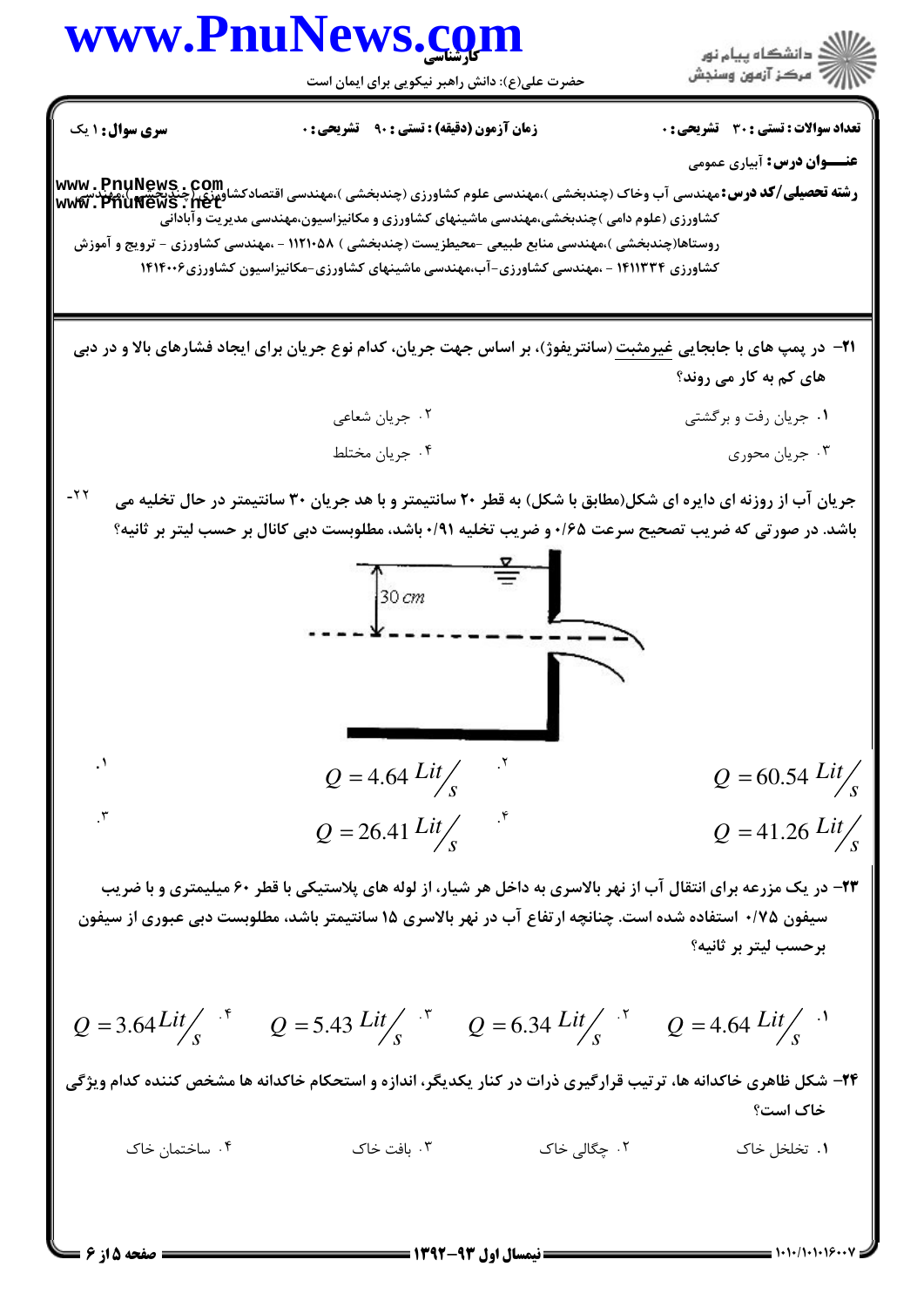